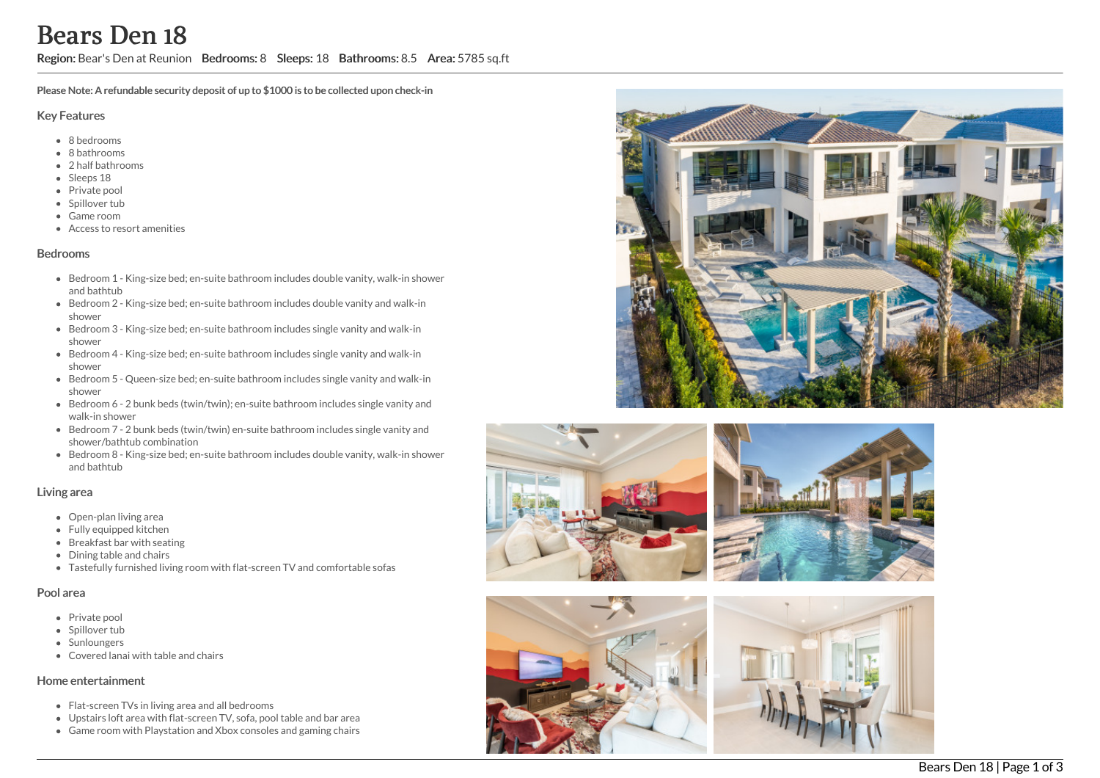Region: Bear's Den at Reunion Bedrooms: 8 Sleeps: 18 Bathrooms: 8.5 Area: 5785 sq.ft

Please Note: A refundable security deposit of up to \$1000 is to be collected upon check-in

#### Key Features

- 8 b e d r o o m s
- 8 bathrooms
- 2 h alf b a t h r o o m s
- Sleeps 18
- Private pool
- Spillover tub
- Game room
- Access to resort amenities

## **Bedrooms**

- Bedroom 1 King-size bed; en-suite bathroom includes double vanity, walk-in shower and bathtub
- Bedroom 2 King-size bed; en-suite bathroom includes double vanity and walk-in s h o w e r
- Bedroom 3 King-size bed; en-suite bathroom includes single vanity and walk-in s h o w e r
- Bedroom 4 King-size bed; en-suite bathroom includes single vanity and walk-in s h o w e r
- Bedroom 5 Queen-size bed; en-suite bathroom includes single vanity and walk-in s h o w e r
- Bedroom 6 2 bunk beds (twin/twin); en-suite bathroom includes single vanity and walk-in shower
- Bedroom 7 2 bunk beds (twin/twin) en-suite bathroom includes single vanity and shower/bathtub combination
- Bedroom 8 King-size bed; en-suite bathroom includes double vanity, walk-in shower and bathtub

## Living area

- Open-plan living area
- Fully equipped kitchen
- Breakfast bar with seating
- Dining table and chairs
- Tastefully furnished living room with flat-screen TV and comfortable sofas

## Pool area

- Private pool
- Spillover tub
- Sunloungers
- Covered lanai with table and chairs

## Home entertainment

- Flat-screen TVs in living area and all bedrooms
- Upstairs loft area with flat-screen TV, sofa, pool table and bar area
- Game room with Playstation and Xbox consoles and gaming chairs









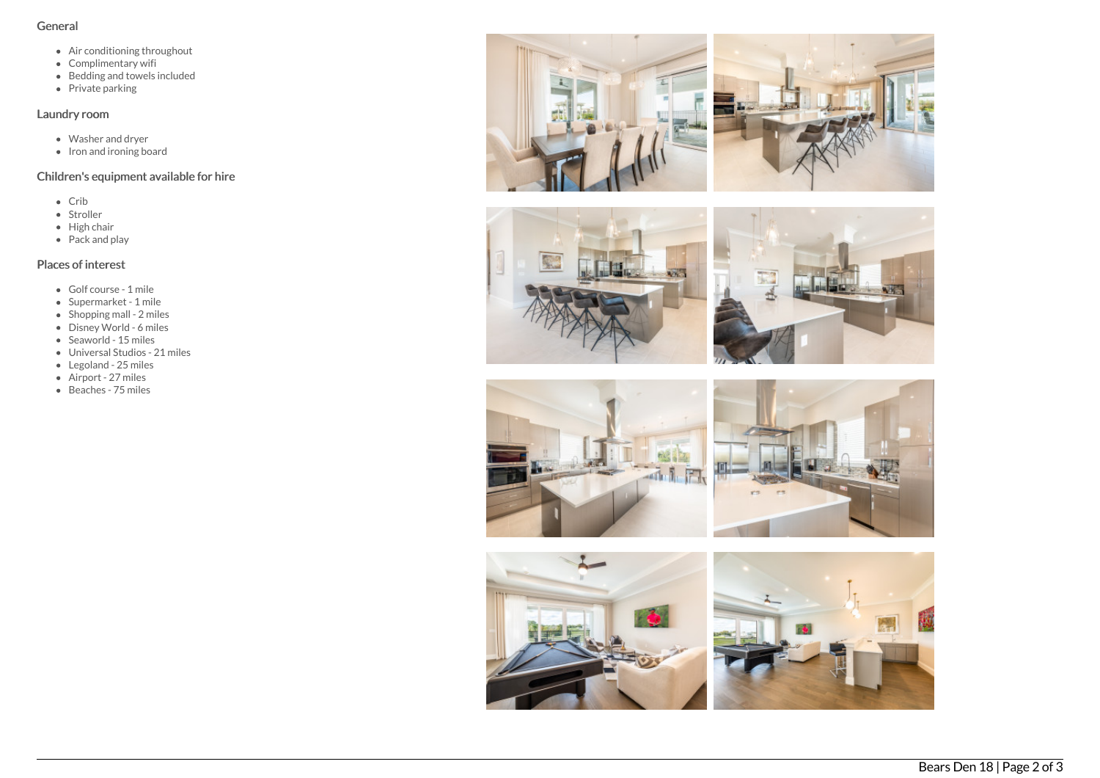#### General

- Air conditioning throughout
- Complimentary wifi
- Bedding and towels in clu d e d
- Private parking

## Laundry room

- Washer and dryer
- Iron and ironing board

## Children's equipment available for hire

- C rib
- Stroller
- Hig h c h air
- Pack and play

# Places of interest

- G olf c o u r s e 1 mile
- Supermarket 1 mile
- Shopping mall 2 miles
- Disney World 6 miles
- Seaworld 15 miles
- Universal Studios 21 miles
- Legoland 25 miles
- Airport 27 miles
- B e a c h e s 7 5 mile s